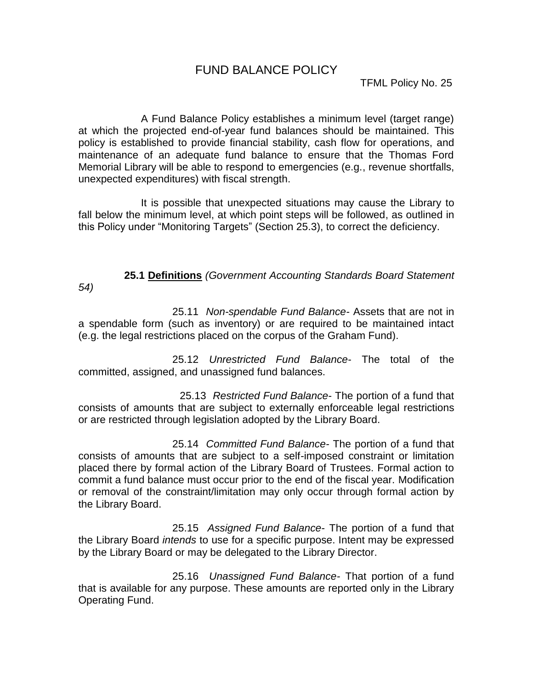## FUND BALANCE POLICY

A Fund Balance Policy establishes a minimum level (target range) at which the projected end-of-year fund balances should be maintained. This policy is established to provide financial stability, cash flow for operations, and maintenance of an adequate fund balance to ensure that the Thomas Ford Memorial Library will be able to respond to emergencies (e.g., revenue shortfalls, unexpected expenditures) with fiscal strength.

It is possible that unexpected situations may cause the Library to fall below the minimum level, at which point steps will be followed, as outlined in this Policy under "Monitoring Targets" (Section 25.3), to correct the deficiency.

# **25.1 Definitions** *(Government Accounting Standards Board Statement*

25.11 *Non-spendable Fund Balance*- Assets that are not in a spendable form (such as inventory) or are required to be maintained intact (e.g. the legal restrictions placed on the corpus of the Graham Fund).

*54)*

25.12 *Unrestricted Fund Balance*- The total of the committed, assigned, and unassigned fund balances.

 25.13 *Restricted Fund Balance*- The portion of a fund that consists of amounts that are subject to externally enforceable legal restrictions or are restricted through legislation adopted by the Library Board.

25.14 *Committed Fund Balance-* The portion of a fund that consists of amounts that are subject to a self-imposed constraint or limitation placed there by formal action of the Library Board of Trustees. Formal action to commit a fund balance must occur prior to the end of the fiscal year. Modification or removal of the constraint/limitation may only occur through formal action by the Library Board.

25.15 *Assigned Fund Balance*- The portion of a fund that the Library Board *intends* to use for a specific purpose. Intent may be expressed by the Library Board or may be delegated to the Library Director.

25.16 *Unassigned Fund Balance-* That portion of a fund that is available for any purpose. These amounts are reported only in the Library Operating Fund.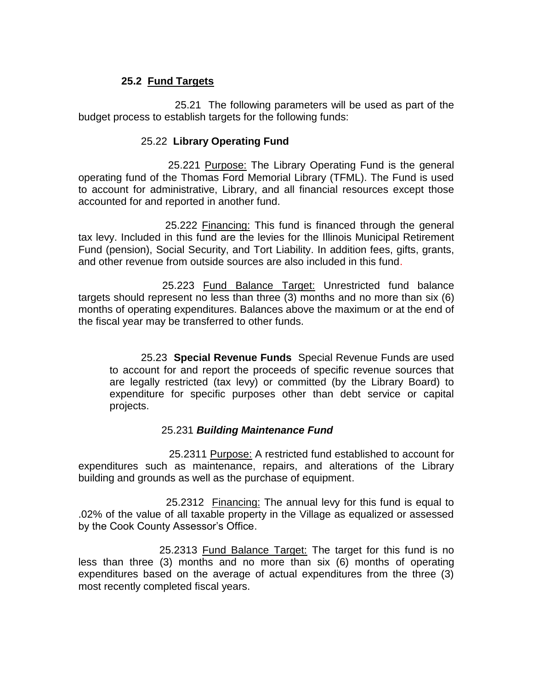### **25.2 Fund Targets**

 25.21 The following parameters will be used as part of the budget process to establish targets for the following funds:

#### 25.22 **Library Operating Fund**

25.221 Purpose: The Library Operating Fund is the general operating fund of the Thomas Ford Memorial Library (TFML). The Fund is used to account for administrative, Library, and all financial resources except those accounted for and reported in another fund.

 25.222 Financing: This fund is financed through the general tax levy. Included in this fund are the levies for the Illinois Municipal Retirement Fund (pension), Social Security, and Tort Liability. In addition fees, gifts, grants, and other revenue from outside sources are also included in this fund.

 25.223 Fund Balance Target: Unrestricted fund balance targets should represent no less than three (3) months and no more than six (6) months of operating expenditures. Balances above the maximum or at the end of the fiscal year may be transferred to other funds.

25.23 **Special Revenue Funds** Special Revenue Funds are used to account for and report the proceeds of specific revenue sources that are legally restricted (tax levy) or committed (by the Library Board) to expenditure for specific purposes other than debt service or capital projects.

#### 25.231 *Building Maintenance Fund*

 25.2311 Purpose: A restricted fund established to account for expenditures such as maintenance, repairs, and alterations of the Library building and grounds as well as the purchase of equipment.

 25.2312 Financing: The annual levy for this fund is equal to .02% of the value of all taxable property in the Village as equalized or assessed by the Cook County Assessor's Office.

 25.2313 Fund Balance Target: The target for this fund is no less than three (3) months and no more than six (6) months of operating expenditures based on the average of actual expenditures from the three (3) most recently completed fiscal years.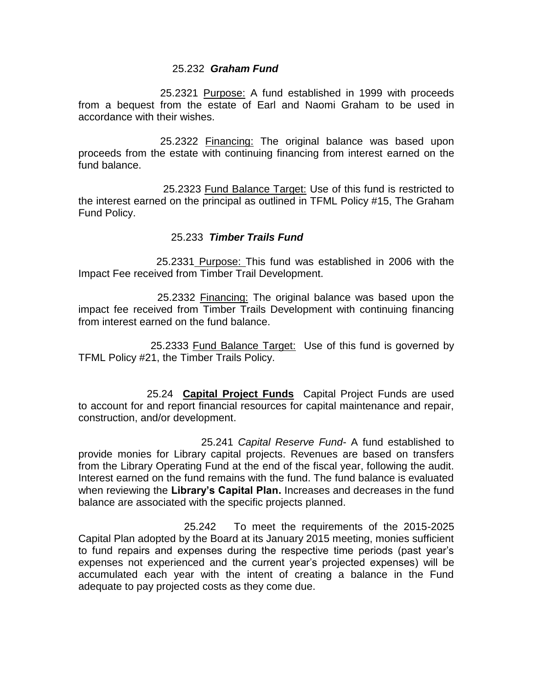#### 25.232 *Graham Fund*

 25.2321 Purpose: A fund established in 1999 with proceeds from a bequest from the estate of Earl and Naomi Graham to be used in accordance with their wishes.

 25.2322 Financing: The original balance was based upon proceeds from the estate with continuing financing from interest earned on the fund balance.

 25.2323 Fund Balance Target: Use of this fund is restricted to the interest earned on the principal as outlined in TFML Policy #15, The Graham Fund Policy.

#### 25.233 *Timber Trails Fund*

 25.2331 Purpose: This fund was established in 2006 with the Impact Fee received from Timber Trail Development.

 25.2332 Financing: The original balance was based upon the impact fee received from Timber Trails Development with continuing financing from interest earned on the fund balance.

 25.2333 Fund Balance Target: Use of this fund is governed by TFML Policy #21, the Timber Trails Policy.

 25.24 **Capital Project Funds** Capital Project Funds are used to account for and report financial resources for capital maintenance and repair, construction, and/or development.

25.241 *Capital Reserve Fund*- A fund established to provide monies for Library capital projects. Revenues are based on transfers from the Library Operating Fund at the end of the fiscal year, following the audit. Interest earned on the fund remains with the fund. The fund balance is evaluated when reviewing the **Library's Capital Plan.** Increases and decreases in the fund balance are associated with the specific projects planned.

25.242 To meet the requirements of the 2015-2025 Capital Plan adopted by the Board at its January 2015 meeting, monies sufficient to fund repairs and expenses during the respective time periods (past year's expenses not experienced and the current year's projected expenses) will be accumulated each year with the intent of creating a balance in the Fund adequate to pay projected costs as they come due.